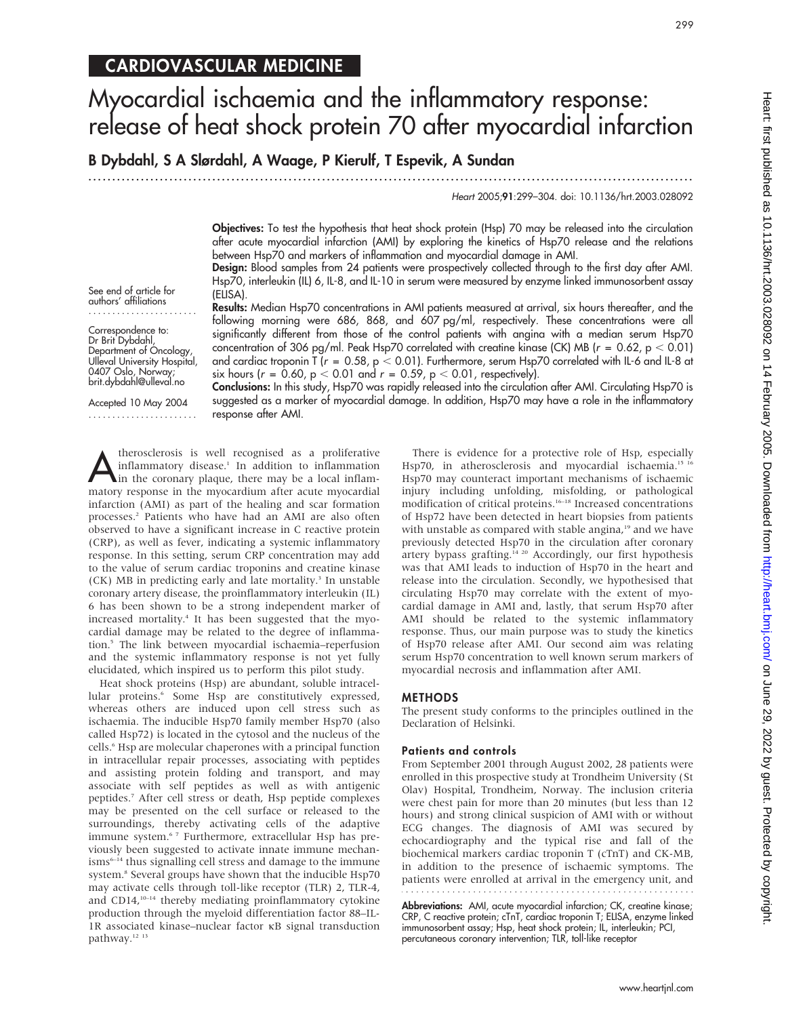## CARDIOVASCULAR MEDICINE

# Myocardial ischaemia and the inflammatory response: release of heat shock protein 70 after myocardial infarction

B Dybdahl, S A Slørdahl, A Waage, P Kierulf, T Espevik, A Sundan

...............................................................................................................................

Heart 2005;91:299–304. doi: 10.1136/hrt.2003.028092

Objectives: To test the hypothesis that heat shock protein (Hsp) 70 may be released into the circulation after acute myocardial infarction (AMI) by exploring the kinetics of Hsp70 release and the relations between Hsp70 and markers of inflammation and myocardial damage in AMI.

Design: Blood samples from 24 patients were prospectively collected through to the first day after AMI. Hsp70, interleukin (IL) 6, IL-8, and IL-10 in serum were measured by enzyme linked immunosorbent assay (ELISA).

See end of article for authors' affiliations .......................

Correspondence to: Dr Brit Dybdahl, Department of Oncology, Ulleval University Hospital, 0407 Oslo, Norway; brit.dybdahl@ulleval.no

Results: Median Hsp70 concentrations in AMI patients measured at arrival, six hours thereafter, and the following morning were 686, 868, and 607 pg/ml, respectively. These concentrations were all significantly different from those of the control patients with angina with a median serum Hsp70 concentration of 306 pg/ml. Peak Hsp70 correlated with creatine kinase (CK) MB ( $r = 0.62$ ,  $p < 0.01$ ) and cardiac troponin T ( $r = 0.58$ ,  $p < 0.01$ ). Furthermore, serum Hsp70 correlated with IL-6 and IL-8 at six hours ( $r = 0.60$ ,  $p < 0.01$  and  $r = 0.59$ ,  $p < 0.01$ , respectively).

Accepted 10 May 2004 ....................... Conclusions: In this study, Hsp70 was rapidly released into the circulation after AMI. Circulating Hsp70 is suggested as a marker of myocardial damage. In addition, Hsp70 may have a role in the inflammatory response after AMI.

**A**therosclerosis is well recognised as a proliferative<br>inflammatory disease.<sup>1</sup> In addition to inflammation<br>in the coronary plaque, there may be a local inflam-<br>matery recognise in the mucocrdium after acute mucocrdial inflammatory disease.<sup>1</sup> In addition to inflammation in the coronary plaque, there may be a local inflammatory response in the myocardium after acute myocardial infarction (AMI) as part of the healing and scar formation processes.2 Patients who have had an AMI are also often observed to have a significant increase in C reactive protein (CRP), as well as fever, indicating a systemic inflammatory response. In this setting, serum CRP concentration may add to the value of serum cardiac troponins and creatine kinase (CK) MB in predicting early and late mortality.<sup>3</sup> In unstable coronary artery disease, the proinflammatory interleukin (IL) 6 has been shown to be a strong independent marker of increased mortality.4 It has been suggested that the myocardial damage may be related to the degree of inflammation.5 The link between myocardial ischaemia–reperfusion and the systemic inflammatory response is not yet fully elucidated, which inspired us to perform this pilot study.

Heat shock proteins (Hsp) are abundant, soluble intracellular proteins.<sup>6</sup> Some Hsp are constitutively expressed, whereas others are induced upon cell stress such as ischaemia. The inducible Hsp70 family member Hsp70 (also called Hsp72) is located in the cytosol and the nucleus of the cells.<sup>6</sup> Hsp are molecular chaperones with a principal function in intracellular repair processes, associating with peptides and assisting protein folding and transport, and may associate with self peptides as well as with antigenic peptides.7 After cell stress or death, Hsp peptide complexes may be presented on the cell surface or released to the surroundings, thereby activating cells of the adaptive immune system.<sup>67</sup> Furthermore, extracellular Hsp has previously been suggested to activate innate immune mechanisms<sup>6-14</sup> thus signalling cell stress and damage to the immune system.<sup>8</sup> Several groups have shown that the inducible Hsp70 may activate cells through toll-like receptor (TLR) 2, TLR-4, and CD14,10–14 thereby mediating proinflammatory cytokine production through the myeloid differentiation factor 88–IL-1R associated kinase–nuclear factor kB signal transduction pathway.<sup>12</sup><sup>13</sup>

There is evidence for a protective role of Hsp, especially Hsp70, in atherosclerosis and myocardial ischaemia.<sup>15 16</sup> Hsp70 may counteract important mechanisms of ischaemic injury including unfolding, misfolding, or pathological modification of critical proteins.<sup>16–18</sup> Increased concentrations of Hsp72 have been detected in heart biopsies from patients with unstable as compared with stable angina,<sup>19</sup> and we have previously detected Hsp70 in the circulation after coronary artery bypass grafting.<sup>14 20</sup> Accordingly, our first hypothesis was that AMI leads to induction of Hsp70 in the heart and release into the circulation. Secondly, we hypothesised that circulating Hsp70 may correlate with the extent of myocardial damage in AMI and, lastly, that serum Hsp70 after AMI should be related to the systemic inflammatory response. Thus, our main purpose was to study the kinetics of Hsp70 release after AMI. Our second aim was relating serum Hsp70 concentration to well known serum markers of myocardial necrosis and inflammation after AMI.

## METHODS

The present study conforms to the principles outlined in the Declaration of Helsinki.

### Patients and controls

From September 2001 through August 2002, 28 patients were enrolled in this prospective study at Trondheim University (St Olav) Hospital, Trondheim, Norway. The inclusion criteria were chest pain for more than 20 minutes (but less than 12 hours) and strong clinical suspicion of AMI with or without ECG changes. The diagnosis of AMI was secured by echocardiography and the typical rise and fall of the biochemical markers cardiac troponin T (cTnT) and CK-MB, in addition to the presence of ischaemic symptoms. The patients were enrolled at arrival in the emergency unit, and

Abbreviations: AMI, acute myocardial infarction; CK, creatine kinase; CRP, C reactive protein; cTnT, cardiac troponin T; ELISA, enzyme linked immunosorbent assay; Hsp, heat shock protein; IL, interleukin; PCI, percutaneous coronary intervention; TLR, toll-like receptor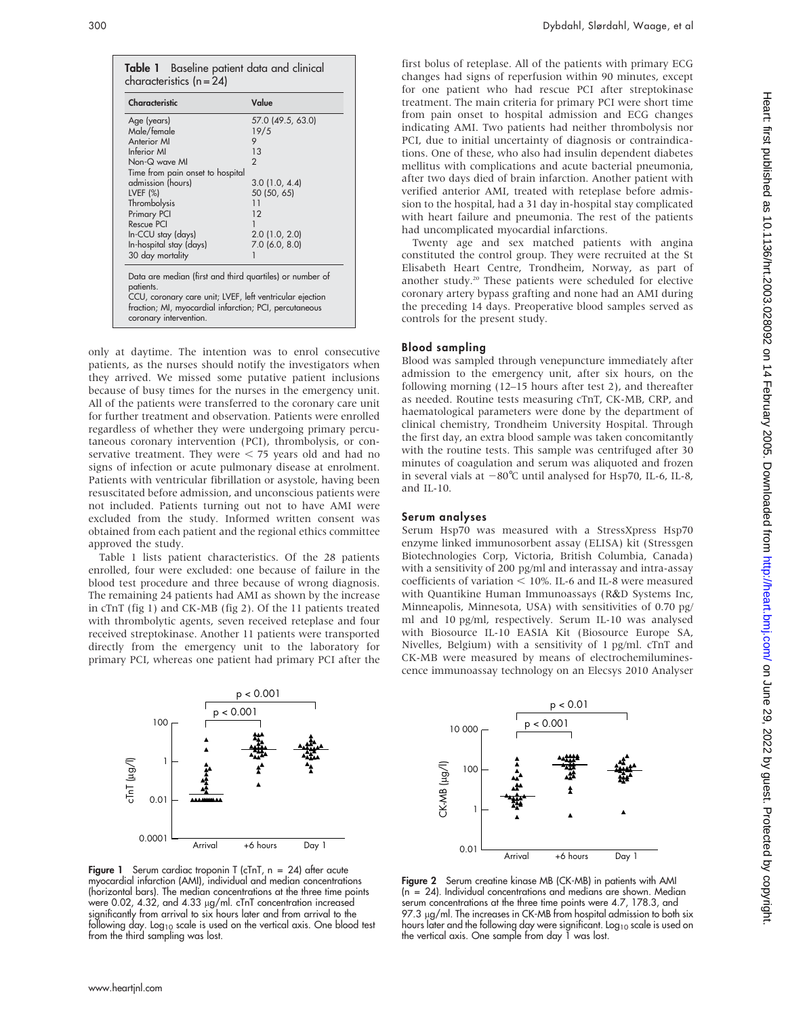| Characteristic                                                                                                                                                                                                        | Value             |  |
|-----------------------------------------------------------------------------------------------------------------------------------------------------------------------------------------------------------------------|-------------------|--|
| Age (years)                                                                                                                                                                                                           | 57.0 (49.5, 63.0) |  |
| Male/female                                                                                                                                                                                                           | 19/5              |  |
| Anterior MI                                                                                                                                                                                                           | 9                 |  |
| Inferior MI                                                                                                                                                                                                           | 1.3               |  |
| Non-Q wave MI                                                                                                                                                                                                         | $\mathcal{P}$     |  |
| Time from pain onset to hospital                                                                                                                                                                                      |                   |  |
| admission (hours)                                                                                                                                                                                                     | 3.0(1.0, 4.4)     |  |
| LVEF $(%)$                                                                                                                                                                                                            | 50 (50, 65)       |  |
| Thrombolysis                                                                                                                                                                                                          | 11                |  |
| Primary PCI                                                                                                                                                                                                           | 12                |  |
| Rescue PCI                                                                                                                                                                                                            |                   |  |
| In-CCU stay (days)                                                                                                                                                                                                    | $2.0$ (1.0, 2.0)  |  |
| In-hospital stay (days)                                                                                                                                                                                               | $7.0$ (6.0, 8.0)  |  |
| 30 day mortality                                                                                                                                                                                                      |                   |  |
| Data are median (first and third quartiles) or number of<br>patients.<br>CCU, coronary care unit; LVEF, left ventricular ejection<br>fraction; MI, myocardial infarction; PCI, percutaneous<br>coronary intervention. |                   |  |

only at daytime. The intention was to enrol consecutive patients, as the nurses should notify the investigators when they arrived. We missed some putative patient inclusions because of busy times for the nurses in the emergency unit. All of the patients were transferred to the coronary care unit for further treatment and observation. Patients were enrolled regardless of whether they were undergoing primary percutaneous coronary intervention (PCI), thrombolysis, or conservative treatment. They were  $<$  75 years old and had no signs of infection or acute pulmonary disease at enrolment. Patients with ventricular fibrillation or asystole, having been resuscitated before admission, and unconscious patients were not included. Patients turning out not to have AMI were excluded from the study. Informed written consent was obtained from each patient and the regional ethics committee approved the study.

Table 1 lists patient characteristics. Of the 28 patients enrolled, four were excluded: one because of failure in the blood test procedure and three because of wrong diagnosis. The remaining 24 patients had AMI as shown by the increase in cTnT (fig 1) and CK-MB (fig 2). Of the 11 patients treated with thrombolytic agents, seven received reteplase and four received streptokinase. Another 11 patients were transported directly from the emergency unit to the laboratory for primary PCI, whereas one patient had primary PCI after the



Figure 1 Serum cardiac troponin T (cTnT,  $n = 24$ ) after acute myocardial infarction (AMI), individual and median concentrations (horizontal bars). The median concentrations at the three time points were 0.02, 4.32, and 4.33 µg/ml. cTnT concentration increased significantly from arrival to six hours later and from arrival to the following day. Log<sub>10</sub> scale is used on the vertical axis. One blood test from the third sampling was lost.

first bolus of reteplase. All of the patients with primary ECG changes had signs of reperfusion within 90 minutes, except for one patient who had rescue PCI after streptokinase treatment. The main criteria for primary PCI were short time from pain onset to hospital admission and ECG changes indicating AMI. Two patients had neither thrombolysis nor PCI, due to initial uncertainty of diagnosis or contraindications. One of these, who also had insulin dependent diabetes mellitus with complications and acute bacterial pneumonia, after two days died of brain infarction. Another patient with verified anterior AMI, treated with reteplase before admission to the hospital, had a 31 day in-hospital stay complicated with heart failure and pneumonia. The rest of the patients had uncomplicated myocardial infarctions.

Twenty age and sex matched patients with angina constituted the control group. They were recruited at the St Elisabeth Heart Centre, Trondheim, Norway, as part of another study.<sup>20</sup> These patients were scheduled for elective coronary artery bypass grafting and none had an AMI during the preceding 14 days. Preoperative blood samples served as controls for the present study.

### Blood sampling

Blood was sampled through venepuncture immediately after admission to the emergency unit, after six hours, on the following morning (12–15 hours after test 2), and thereafter as needed. Routine tests measuring cTnT, CK-MB, CRP, and haematological parameters were done by the department of clinical chemistry, Trondheim University Hospital. Through the first day, an extra blood sample was taken concomitantly with the routine tests. This sample was centrifuged after 30 minutes of coagulation and serum was aliquoted and frozen in several vials at  $-80^{\circ}$ C until analysed for Hsp70, IL-6, IL-8, and IL-10.

### Serum analyses

Serum Hsp70 was measured with a StressXpress Hsp70 enzyme linked immunosorbent assay (ELISA) kit (Stressgen Biotechnologies Corp, Victoria, British Columbia, Canada) with a sensitivity of 200 pg/ml and interassay and intra-assay coefficients of variation  $<$  10%. IL-6 and IL-8 were measured with Quantikine Human Immunoassays (R&D Systems Inc, Minneapolis, Minnesota, USA) with sensitivities of 0.70 pg/ ml and 10 pg/ml, respectively. Serum IL-10 was analysed with Biosource IL-10 EASIA Kit (Biosource Europe SA, Nivelles, Belgium) with a sensitivity of 1 pg/ml. cTnT and CK-MB were measured by means of electrochemiluminescence immunoassay technology on an Elecsys 2010 Analyser



Figure 2 Serum creatine kinase MB (CK-MB) in patients with AMI (n = 24). Individual concentrations and medians are shown. Median serum concentrations at the three time points were 4.7, 178.3, and  $97.3 \mu g/ml$ . The increases in CK-MB from hospital admission to both six hours later and the following day were significant. Log<sub>10</sub> scale is used on the vertical axis. One sample from day 1 was lost.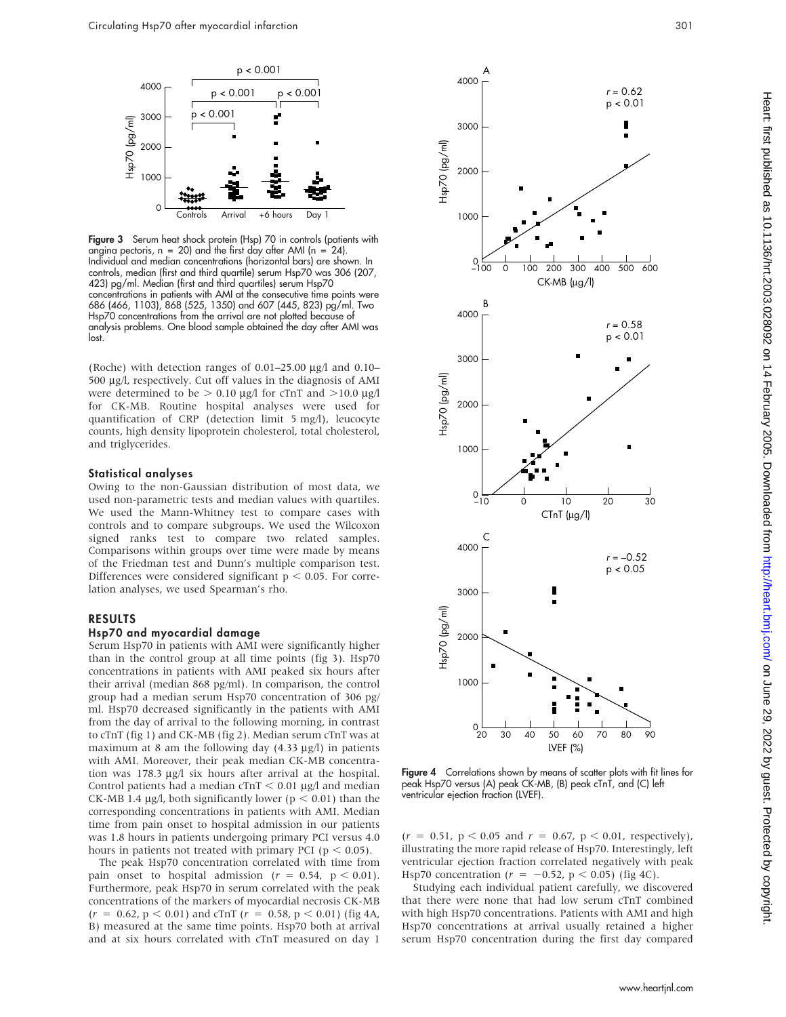

Figure 3 Serum heat shock protein (Hsp) 70 in controls (patients with angina pectoris,  $n = 20$ ) and the first day after AMI ( $n = 24$ ). Individual and median concentrations (horizontal bars) are shown. In controls, median (first and third quartile) serum Hsp70 was 306 (207, 423) pg/ml. Median (first and third quartiles) serum Hsp70 concentrations in patients with AMI at the consecutive time points were 686 (466, 1103), 868 (525, 1350) and 607 (445, 823) pg/ml. Two Hsp70 concentrations from the arrival are not plotted because of analysis problems. One blood sample obtained the day after AMI was lost.

(Roche) with detection ranges of  $0.01-25.00 \mu g/l$  and  $0.10-$ 500 mg/l, respectively. Cut off values in the diagnosis of AMI were determined to be  $> 0.10 \mu g/l$  for cTnT and  $> 10.0 \mu g/l$ for CK-MB. Routine hospital analyses were used for quantification of CRP (detection limit 5 mg/l), leucocyte counts, high density lipoprotein cholesterol, total cholesterol, and triglycerides.

## Statistical analyses

Owing to the non-Gaussian distribution of most data, we used non-parametric tests and median values with quartiles. We used the Mann-Whitney test to compare cases with controls and to compare subgroups. We used the Wilcoxon signed ranks test to compare two related samples. Comparisons within groups over time were made by means of the Friedman test and Dunn's multiple comparison test. Differences were considered significant  $p < 0.05$ . For correlation analyses, we used Spearman's rho.

## RESULTS

## Hsp70 and myocardial damage

Serum Hsp70 in patients with AMI were significantly higher than in the control group at all time points (fig 3). Hsp70 concentrations in patients with AMI peaked six hours after their arrival (median 868 pg/ml). In comparison, the control group had a median serum Hsp70 concentration of 306 pg/ ml. Hsp70 decreased significantly in the patients with AMI from the day of arrival to the following morning, in contrast to cTnT (fig 1) and CK-MB (fig 2). Median serum cTnT was at maximum at 8 am the following day  $(4.33 \mu g/l)$  in patients with AMI. Moreover, their peak median CK-MB concentration was  $178.3 \text{ µg/l}$  six hours after arrival at the hospital. Control patients had a median  $C\text{Tr}T < 0.01 \mu g/l$  and median CK-MB 1.4  $\mu$ g/l, both significantly lower (p < 0.01) than the corresponding concentrations in patients with AMI. Median time from pain onset to hospital admission in our patients was 1.8 hours in patients undergoing primary PCI versus 4.0 hours in patients not treated with primary PCI ( $p < 0.05$ ).

The peak Hsp70 concentration correlated with time from pain onset to hospital admission ( $r = 0.54$ ,  $p < 0.01$ ). Furthermore, peak Hsp70 in serum correlated with the peak concentrations of the markers of myocardial necrosis CK-MB  $(r = 0.62, p < 0.01)$  and cTnT  $(r = 0.58, p < 0.01)$  (fig 4A, B) measured at the same time points. Hsp70 both at arrival and at six hours correlated with cTnT measured on day 1



**Figure 4** Correlations shown by means of scatter plots with fit lines for peak Hsp70 versus (A) peak CK-MB, (B) peak cTnT, and (C) left ventricular ejection fraction (LVEF).

 $(r = 0.51, p < 0.05 \text{ and } r = 0.67, p < 0.01, \text{ respectively}).$ illustrating the more rapid release of Hsp70. Interestingly, left ventricular ejection fraction correlated negatively with peak Hsp70 concentration ( $r = -0.52$ , p < 0.05) (fig 4C).

Studying each individual patient carefully, we discovered that there were none that had low serum cTnT combined with high Hsp70 concentrations. Patients with AMI and high Hsp70 concentrations at arrival usually retained a higher serum Hsp70 concentration during the first day compared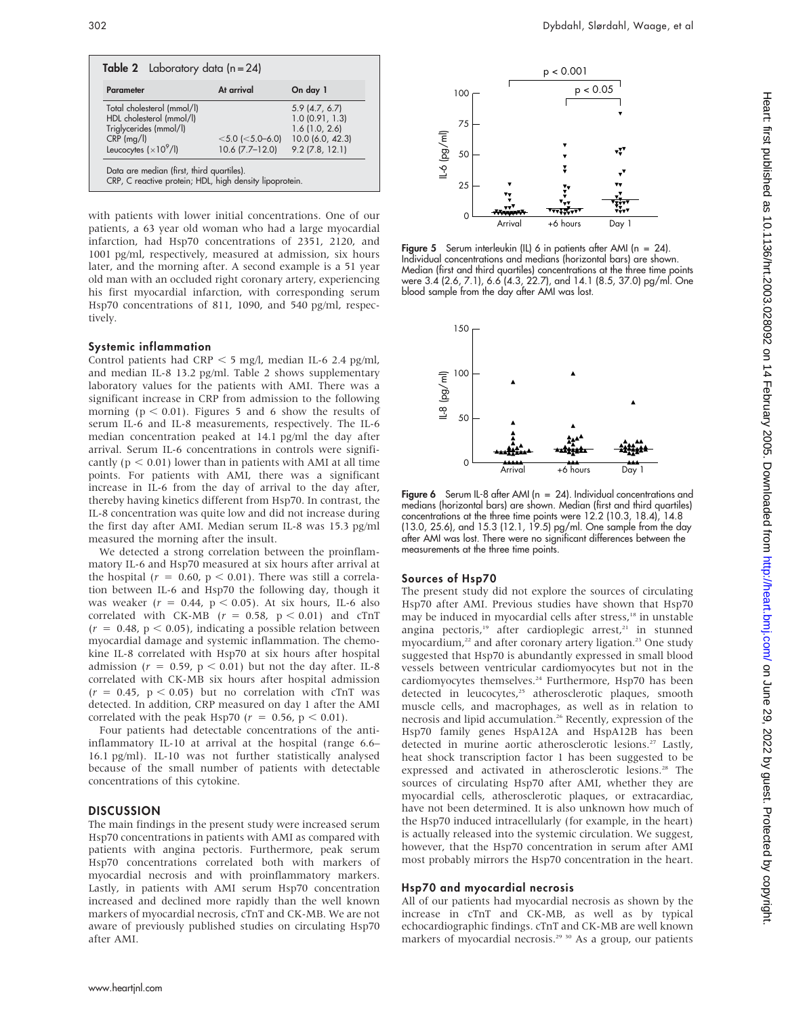| <b>Table 2</b> Laboratory data $(n = 24)$                                                                                  |                                             |                                                                                                 |
|----------------------------------------------------------------------------------------------------------------------------|---------------------------------------------|-------------------------------------------------------------------------------------------------|
| <b>Parameter</b>                                                                                                           | At arrival                                  | On day 1                                                                                        |
| Total cholesterol (mmol/l)<br>HDL cholesterol (mmol/l)<br>Triglycerides (mmol/l)<br>$CRP$ (mg/l)<br>Leucocytes $(x10^9/l)$ | $<$ 5.0 ( $<$ 5.0–6.0)<br>$10.6$ (7.7–12.0) | $5.9$ (4.7, 6.7)<br>1.0(0.91, 1.3)<br>$1.6$ (1.0, 2.6)<br>10.0 (6.0, 42.3)<br>$9.2$ (7.8, 12.1) |
| Data are median (first, third quartiles).<br>CRP, C reactive protein; HDL, high density lipoprotein.                       |                                             |                                                                                                 |

with patients with lower initial concentrations. One of our patients, a 63 year old woman who had a large myocardial infarction, had Hsp70 concentrations of 2351, 2120, and 1001 pg/ml, respectively, measured at admission, six hours later, and the morning after. A second example is a 51 year old man with an occluded right coronary artery, experiencing his first myocardial infarction, with corresponding serum Hsp70 concentrations of 811, 1090, and 540 pg/ml, respectively.

## Systemic inflammation

Control patients had CRP  $<$  5 mg/l, median IL-6 2.4 pg/ml, and median IL-8 13.2 pg/ml. Table 2 shows supplementary laboratory values for the patients with AMI. There was a significant increase in CRP from admission to the following morning ( $p < 0.01$ ). Figures 5 and 6 show the results of serum IL-6 and IL-8 measurements, respectively. The IL-6 median concentration peaked at 14.1 pg/ml the day after arrival. Serum IL-6 concentrations in controls were significantly ( $p < 0.01$ ) lower than in patients with AMI at all time points. For patients with AMI, there was a significant increase in IL-6 from the day of arrival to the day after, thereby having kinetics different from Hsp70. In contrast, the IL-8 concentration was quite low and did not increase during the first day after AMI. Median serum IL-8 was 15.3 pg/ml measured the morning after the insult.

We detected a strong correlation between the proinflammatory IL-6 and Hsp70 measured at six hours after arrival at the hospital ( $r = 0.60$ ,  $p < 0.01$ ). There was still a correlation between IL-6 and Hsp70 the following day, though it was weaker ( $r = 0.44$ ,  $p < 0.05$ ). At six hours, IL-6 also correlated with CK-MB ( $r = 0.58$ ,  $p < 0.01$ ) and cTnT  $(r = 0.48, p < 0.05)$ , indicating a possible relation between myocardial damage and systemic inflammation. The chemokine IL-8 correlated with Hsp70 at six hours after hospital admission ( $r = 0.59$ ,  $p < 0.01$ ) but not the day after. IL-8 correlated with CK-MB six hours after hospital admission  $(r = 0.45, p < 0.05)$  but no correlation with cTnT was detected. In addition, CRP measured on day 1 after the AMI correlated with the peak Hsp70 ( $r = 0.56$ ,  $p < 0.01$ ).

Four patients had detectable concentrations of the antiinflammatory IL-10 at arrival at the hospital (range 6.6– 16.1 pg/ml). IL-10 was not further statistically analysed because of the small number of patients with detectable concentrations of this cytokine.

## DISCUSSION

The main findings in the present study were increased serum Hsp70 concentrations in patients with AMI as compared with patients with angina pectoris. Furthermore, peak serum Hsp70 concentrations correlated both with markers of myocardial necrosis and with proinflammatory markers. Lastly, in patients with AMI serum Hsp70 concentration increased and declined more rapidly than the well known markers of myocardial necrosis, cTnT and CK-MB. We are not aware of previously published studies on circulating Hsp70 after AMI.



Figure 5 Serum interleukin (IL) 6 in patients after AMI ( $n = 24$ ). Individual concentrations and medians (horizontal bars) are shown. Median (first and third quartiles) concentrations at the three time points were 3.4 (2.6, 7.1), 6.6 (4.3, 22.7), and 14.1 (8.5, 37.0) pg/ml. One blood sample from the day after AMI was lost.



Figure 6 Serum IL-8 after AMI (n = 24). Individual concentrations and medians (horizontal bars) are shown. Median (first and third quartiles) concentrations at the three time points were 12.2 (10.3, 18.4), 14.8 (13.0, 25.6), and 15.3 (12.1, 19.5) pg/ml. One sample from the day after AMI was lost. There were no significant differences between the measurements at the three time points.

## Sources of Hsp70

The present study did not explore the sources of circulating Hsp70 after AMI. Previous studies have shown that Hsp70 may be induced in myocardial cells after stress,<sup>18</sup> in unstable angina pectoris,<sup>19</sup> after cardioplegic arrest,<sup>21</sup> in stunned myocardium,<sup>22</sup> and after coronary artery ligation.<sup>23</sup> One study suggested that Hsp70 is abundantly expressed in small blood vessels between ventricular cardiomyocytes but not in the cardiomyocytes themselves.<sup>24</sup> Furthermore, Hsp70 has been detected in leucocytes,<sup>25</sup> atherosclerotic plaques, smooth muscle cells, and macrophages, as well as in relation to necrosis and lipid accumulation.<sup>26</sup> Recently, expression of the Hsp70 family genes HspA12A and HspA12B has been detected in murine aortic atherosclerotic lesions.<sup>27</sup> Lastly, heat shock transcription factor 1 has been suggested to be expressed and activated in atherosclerotic lesions.<sup>28</sup> The sources of circulating Hsp70 after AMI, whether they are myocardial cells, atherosclerotic plaques, or extracardiac, have not been determined. It is also unknown how much of the Hsp70 induced intracellularly (for example, in the heart) is actually released into the systemic circulation. We suggest, however, that the Hsp70 concentration in serum after AMI most probably mirrors the Hsp70 concentration in the heart.

## Hsp70 and myocardial necrosis

All of our patients had myocardial necrosis as shown by the increase in cTnT and CK-MB, as well as by typical echocardiographic findings. cTnT and CK-MB are well known markers of myocardial necrosis.<sup>29 30</sup> As a group, our patients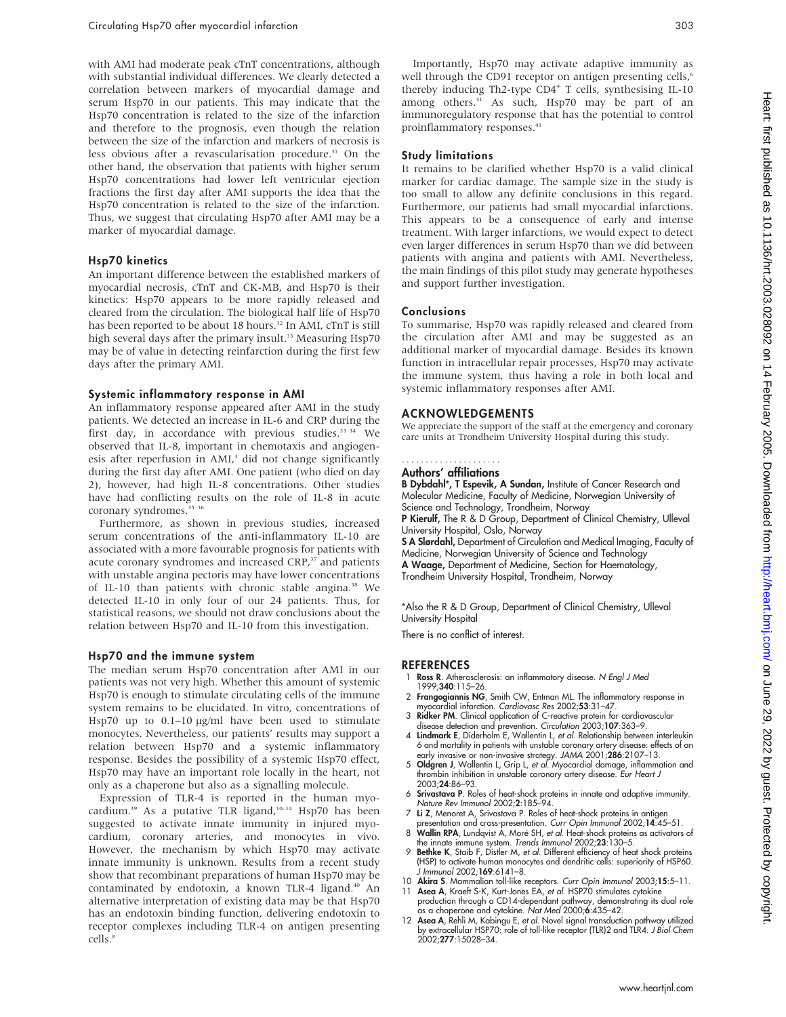with AMI had moderate peak cTnT concentrations, although with substantial individual differences. We clearly detected a correlation between markers of myocardial damage and serum Hsp70 in our patients. This may indicate that the Hsp70 concentration is related to the size of the infarction and therefore to the prognosis, even though the relation between the size of the infarction and markers of necrosis is less obvious after a revascularisation procedure.<sup>31</sup> On the other hand, the observation that patients with higher serum Hsp70 concentrations had lower left ventricular ejection fractions the first day after AMI supports the idea that the Hsp70 concentration is related to the size of the infarction. Thus, we suggest that circulating Hsp70 after AMI may be a marker of myocardial damage.

## Hsp70 kinetics

An important difference between the established markers of myocardial necrosis, cTnT and CK-MB, and Hsp70 is their kinetics: Hsp70 appears to be more rapidly released and cleared from the circulation. The biological half life of Hsp70 has been reported to be about 18 hours.<sup>32</sup> In AMI, cTnT is still high several days after the primary insult.<sup>33</sup> Measuring Hsp70 may be of value in detecting reinfarction during the first few days after the primary AMI.

#### Systemic inflammatory response in AMI

An inflammatory response appeared after AMI in the study patients. We detected an increase in IL-6 and CRP during the first day, in accordance with previous studies.<sup>33 34</sup> We observed that IL-8, important in chemotaxis and angiogenesis after reperfusion in AMI,<sup>3</sup> did not change significantly during the first day after AMI. One patient (who died on day 2), however, had high IL-8 concentrations. Other studies have had conflicting results on the role of IL-8 in acute coronary syndromes.<sup>35</sup> 36</sup>

Furthermore, as shown in previous studies, increased serum concentrations of the anti-inflammatory IL-10 are associated with a more favourable prognosis for patients with acute coronary syndromes and increased CRP,<sup>37</sup> and patients with unstable angina pectoris may have lower concentrations of IL-10 than patients with chronic stable angina.<sup>38</sup> We detected IL-10 in only four of our 24 patients. Thus, for statistical reasons, we should not draw conclusions about the relation between Hsp70 and IL-10 from this investigation.

#### Hsp70 and the immune system

The median serum Hsp70 concentration after AMI in our patients was not very high. Whether this amount of systemic Hsp70 is enough to stimulate circulating cells of the immune system remains to be elucidated. In vitro, concentrations of Hsp70 up to  $0.1-10 \mu g/ml$  have been used to stimulate monocytes. Nevertheless, our patients' results may support a relation between Hsp70 and a systemic inflammatory response. Besides the possibility of a systemic Hsp70 effect, Hsp70 may have an important role locally in the heart, not only as a chaperone but also as a signalling molecule.

Expression of TLR-4 is reported in the human myocardium.<sup>39</sup> As a putative TLR ligand,<sup>10-14</sup> Hsp70 has been suggested to activate innate immunity in injured myocardium, coronary arteries, and monocytes in vivo. However, the mechanism by which Hsp70 may activate innate immunity is unknown. Results from a recent study show that recombinant preparations of human Hsp70 may be contaminated by endotoxin, a known TLR-4 ligand.<sup>40</sup> An alternative interpretation of existing data may be that Hsp70 has an endotoxin binding function, delivering endotoxin to receptor complexes including TLR-4 on antigen presenting cells.<sup>8</sup>

Importantly, Hsp70 may activate adaptive immunity as well through the CD91 receptor on antigen presenting cells,<sup>6</sup> thereby inducing Th2-type CD4<sup>+</sup> T cells, synthesising IL-10 among others.<sup>41</sup> As such, Hsp70 may be part of an immunoregulatory response that has the potential to control proinflammatory responses.<sup>41</sup>

## Study limitations

It remains to be clarified whether Hsp70 is a valid clinical marker for cardiac damage. The sample size in the study is too small to allow any definite conclusions in this regard. Furthermore, our patients had small myocardial infarctions. This appears to be a consequence of early and intense treatment. With larger infarctions, we would expect to detect even larger differences in serum Hsp70 than we did between patients with angina and patients with AMI. Nevertheless, the main findings of this pilot study may generate hypotheses and support further investigation.

### Conclusions

To summarise, Hsp70 was rapidly released and cleared from the circulation after AMI and may be suggested as an additional marker of myocardial damage. Besides its known function in intracellular repair processes, Hsp70 may activate the immune system, thus having a role in both local and systemic inflammatory responses after AMI.

#### ACKNOWLEDGEMENTS

We appreciate the support of the staff at the emergency and coronary care units at Trondheim University Hospital during this study.

#### .....................

## Authors' affiliations

B Dybdahl\*, T Espevik, A Sundan, Institute of Cancer Research and Molecular Medicine, Faculty of Medicine, Norwegian University of Science and Technology, Trondheim, Norway P Kierulf, The R & D Group, Department of Clinical Chemistry, Ulleval University Hospital, Oslo, Norway

S A Slørdahl, Department of Circulation and Medical Imaging, Faculty of Medicine, Norwegian University of Science and Technology A Waage, Department of Medicine, Section for Haematology,

Trondheim University Hospital, Trondheim, Norway

\*Also the R & D Group, Department of Clinical Chemistry, Ulleval University Hospital

There is no conflict of interest.

## **REFERENCES**

- Ross R. Atherosclerosis: an inflammatory disease. N Engl J Med 1999;340:115–26.
- 2 Frangogiannis NG, Smith CW, Entman ML. The inflammatory response in
- myocardial infarction. *Cardiovasc Res* 2002;53:31–47.<br>3 **Ridker PM**. Clinical application of C-reactive protein for cardiovascular<br>disease detection and prevention. *Circulation* 2003;1**07**:363–9.
- 4 Lindmark E, Diderholm E, Wallentin L, et al. Relationship between interleukin 6 and mortality in patients with unstable coronary artery disease: effects of an early invasive or non-invasive strategy. JAMA 2001;286:2107-13.
- 5 Oldgren J, Wallentin L, Grip L, et al. Myocardial damage, inflammation and thrombin inhibition in unstable coronary artery disease. Eur Heart J 2003;24:86–93.
- 6 Srivastava P. Roles of heat-shock proteins in innate and adaptive immunity. Nature Rev Immunol 2002;2:185–94.
- 7 Li Z, Menoret A, Srivastava P. Roles of heat-shock proteins in antigen
- presentation and cross-presentation. *Curr Opin Immunol* 2002;14:45–51.<br>8 Wallin RPA, Lundqvist A, Moré SH, *et al.* Heat-shock proteins as activators of
- the innate immune system. Trends Immunol 2002;23:130–5.<br>9 Bethke K, Staib F, Distler M, et al. Different efficiency of heat shock proteins (HSP) to activate human monocytes and dendritic cells: superiority of HSP60. J Immunol 2002;169:6141–8.
- 10 Akira S. Mammalian toll-like receptors. Curr Opin Immunol 2003;15:5-11. 11 Asea A, Kraeft S-K, Kurt-Jones EA, et al. HSP70 stimulates cytokine
- production through a CD14-dependant pathway, demonstrating its dual role as a chaperone and cytokine. Nat Med 2000;6:435–42.
- 12 Asea A, Rehli M, Kabingu E, et al. Novel signal transduction pathway utilized by extracellular HSP70: role of toll-like receptor (TLR)2 and TLR4. J Biol Chem 2002;277:15028–34.